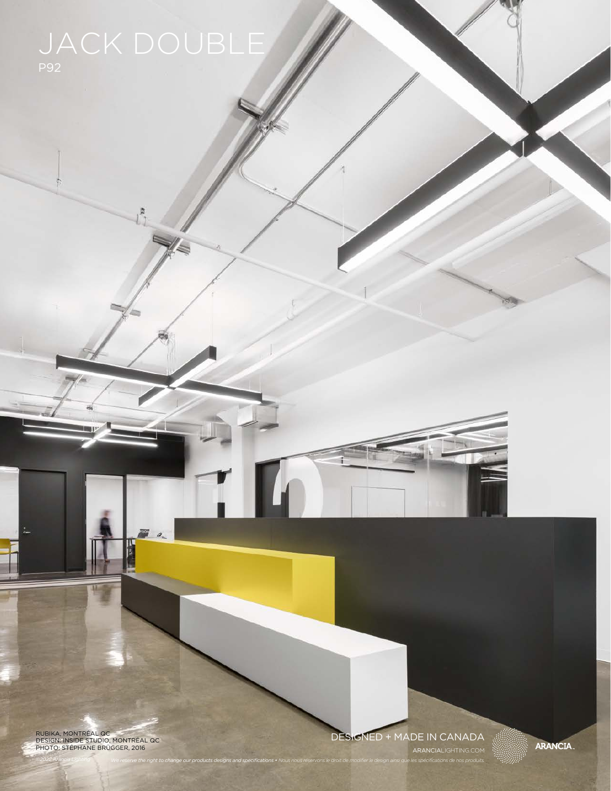RUBIKA, MONTRÉAL QC DESIGN: INSIDE STUDIO, MONTRÉAL QC PHOTO: STÉPHANE BRÜGGER, 2016

### DESIGNED + MADE IN CANADA

*©2022 Arancia Lighting We reserve the right to change our products designs and specifications • Nous nous réservons le droit de modifier le design ainsi que les spécifications de nos produits.* ARANCIALIGHTING.COM **ARANCIA.**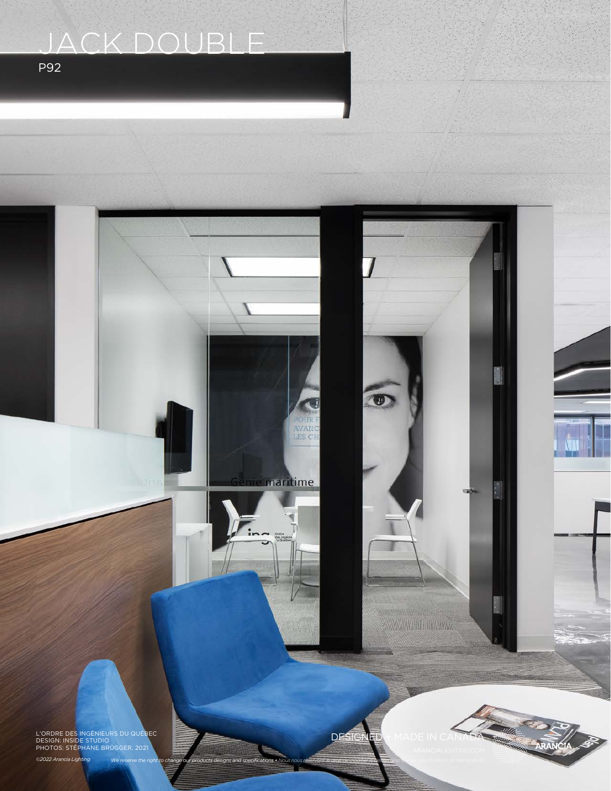# JACK DOUBLE

P92

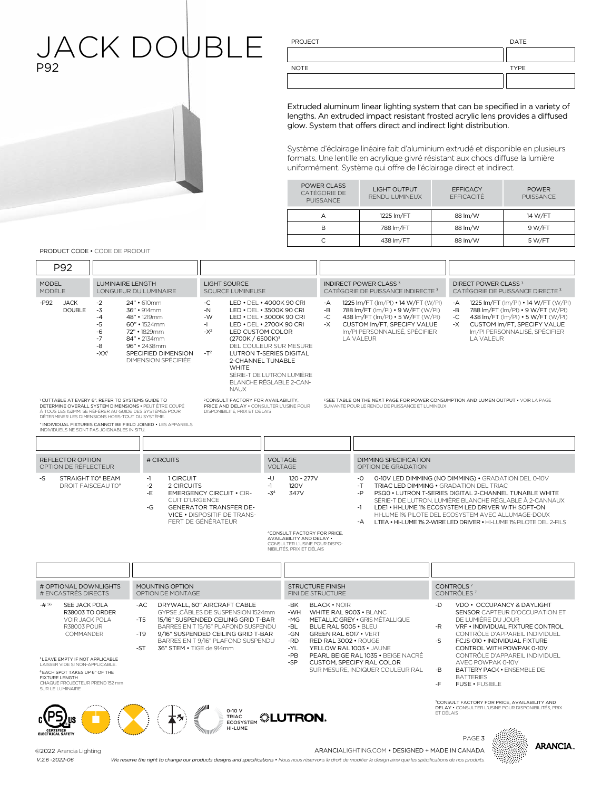### JACK DOUBLE P92

PROJECT DATE

| <b>NOTE</b> | <b>TYPE</b> |
|-------------|-------------|
|             |             |

Extruded aluminum linear lighting system that can be specified in a variety of lengths. An extruded impact resistant frosted acrylic lens provides a diffused glow. System that offers direct and indirect light distribution.

Système d'éclairage linéaire fait d'aluminium extrudé et disponible en plusieurs formats. Une lentille en acrylique givré résistant aux chocs diffuse la lumière uniformément. Système qui offre de l'éclairage direct et indirect.

| <b>LIGHT OUTPUT</b><br><b>RENDU LUMINEUX</b> | <b>FFFICACY</b><br>FFFICACITÉ | <b>POWER</b><br><b>PUISSANCE</b> |
|----------------------------------------------|-------------------------------|----------------------------------|
| 1225 Im/FT                                   | 88 lm/W                       | 14 W/FT                          |
| 788 lm/FT                                    | 88 lm/W                       | 9 W/FT                           |
| 438 Im/FT                                    | 88 lm/W                       | 5 W/FT                           |
|                                              |                               |                                  |

PRODUCT CODE • CODE DE PRODUIT

| P92                                                                                                                                                                                                                                                                                                               |                                                          |                                                                                                                                                                                  |                                                                                                                                                                                                                             |                           |                                                                                                                                                                                                                                                                                                                                                                                                                                                                     |                                              |                                                                                                                                                                                                                               |                                                                                                                                                                                             |                                                                                |                                                                                                                                                                                                                                                                                                                                                                                                         |
|-------------------------------------------------------------------------------------------------------------------------------------------------------------------------------------------------------------------------------------------------------------------------------------------------------------------|----------------------------------------------------------|----------------------------------------------------------------------------------------------------------------------------------------------------------------------------------|-----------------------------------------------------------------------------------------------------------------------------------------------------------------------------------------------------------------------------|---------------------------|---------------------------------------------------------------------------------------------------------------------------------------------------------------------------------------------------------------------------------------------------------------------------------------------------------------------------------------------------------------------------------------------------------------------------------------------------------------------|----------------------------------------------|-------------------------------------------------------------------------------------------------------------------------------------------------------------------------------------------------------------------------------|---------------------------------------------------------------------------------------------------------------------------------------------------------------------------------------------|--------------------------------------------------------------------------------|---------------------------------------------------------------------------------------------------------------------------------------------------------------------------------------------------------------------------------------------------------------------------------------------------------------------------------------------------------------------------------------------------------|
| <b>MODEL</b><br>MODÈLE                                                                                                                                                                                                                                                                                            | LUMINAIRE LENGTH                                         | LONGUEUR DU LUMINAIRE                                                                                                                                                            | LIGHT SOURCE<br>SOURCE LUMINEUSE                                                                                                                                                                                            |                           | <b>INDIRECT POWER CLASS 3</b><br>CATÉGORIE DE PUISSANCE INDIRECTE <sup>3</sup>                                                                                                                                                                                                                                                                                                                                                                                      |                                              |                                                                                                                                                                                                                               |                                                                                                                                                                                             | DIRECT POWER CLASS <sup>3</sup><br>CATÉGORIE DE PUISSANCE DIRECTE <sup>3</sup> |                                                                                                                                                                                                                                                                                                                                                                                                         |
| $-P92$<br><b>JACK</b><br><b>DOUBLE</b>                                                                                                                                                                                                                                                                            | $-2$<br>$-3$<br>$-4$<br>-5<br>-6<br>$-7$<br>-8<br>$-XX1$ | 24" · 610mm<br>36" · 914mm<br>48" • 1219mm<br>$60" \cdot 1524$ mm<br>72" • 1829mm<br>84" • 2134mm<br>96" · 2438mm<br>SPECIFIED DIMENSION<br>DIMENSION SPÉCIFIÉE                  | $-C$<br>-N<br>$-W$<br>-1<br>$-\chi^2$<br>LED CUSTOM COLOR<br>(2700K / 6500K) <sup>3</sup><br>$-T^2$<br>2-CHANNEL TUNABLE<br><b>WHITE</b><br><b>NAUX</b>                                                                     |                           | LED . DEL . 4000K 90 CRI<br>1225 Im/FT (Im/PI) • 14 W/FT (W/PI)<br>$-A$<br>LED . DEL . 3500K 90 CRI<br>-В<br>788 Im/FT (Im/PI) • 9 W/FT (W/PI)<br>$-C$<br>LED . DEL . 3000K 90 CRI<br>438 Im/FT (Im/PI) • 5 W/FT (W/PI)<br>LED • DEL • 2700K 90 CRI<br>$-X$<br>CUSTOM Im/FT, SPECIFY VALUE<br>Im/PI PERSONNALISÉ. SPÉCIFIER<br><b>LA VALEUR</b><br>DEL COULEUR SUR MESURE<br><b>LUTRON T-SERIES DIGITAL</b><br>SÉRIE-T DE LUTRON LUMIÈRE<br>BLANCHE RÉGLABLE 2-CAN- |                                              | 1225 Im/FT (Im/PI) • 14 W/FT (W/PI)<br>-A<br>-В<br>788 lm/FT (lm/Pl) • 9 W/FT (W/Pl)<br>$-C$<br>438 Im/FT (Im/PI) • 5 W/FT (W/PI)<br>$-X$<br>CUSTOM Im/FT, SPECIFY VALUE<br>Im/PI PERSONNALISÉ. SPÉCIFIER<br><b>LA VALEUR</b> |                                                                                                                                                                                             |                                                                                |                                                                                                                                                                                                                                                                                                                                                                                                         |
| <sup>1</sup> CUTTABLE AT EVERY 6". REFER TO SYSTEMS GUIDE TO<br>DÉTERMINER LES DIMENSIONS HORS-TOUT DU SYSTÈME.<br>INDIVIDUELS NE SONT PAS JOIGNABLES IN SITU.                                                                                                                                                    |                                                          | DETERMINE OVERALL SYSTEM DIMENSIONS . PEUT ÊTRE COUPÉ<br>À TOUS LES 152MM. SE RÉFÉRER AU GUIDE DES SYSTÈMES POUR<br>* INDIVIDUAL FIXTURES CANNOT BE FIELD JOINED . LES APPAREILS | <sup>2</sup> CONSULT FACTORY FOR AVAILABILITY,<br>PRICE AND DELAY . CONSULTER L'USINE POUR<br>DISPONIBILITÉ PRIX ET DÉLAIS                                                                                                  |                           |                                                                                                                                                                                                                                                                                                                                                                                                                                                                     |                                              |                                                                                                                                                                                                                               | SUIVANTE POUR LE RENDU DE PUISSANCE ET LUMINEUX                                                                                                                                             |                                                                                | <sup>3</sup> SEE TABLE ON THE NEXT PAGE FOR POWER CONSUMPTION AND LUMEN OUTPUT . VOIR LA PAGE                                                                                                                                                                                                                                                                                                           |
|                                                                                                                                                                                                                                                                                                                   |                                                          |                                                                                                                                                                                  |                                                                                                                                                                                                                             |                           |                                                                                                                                                                                                                                                                                                                                                                                                                                                                     |                                              |                                                                                                                                                                                                                               |                                                                                                                                                                                             |                                                                                |                                                                                                                                                                                                                                                                                                                                                                                                         |
| REFLECTOR OPTION<br>OPTION DE RÉFLECTEUR                                                                                                                                                                                                                                                                          |                                                          | # CIRCUITS                                                                                                                                                                       |                                                                                                                                                                                                                             | <b>VOLTAGE</b><br>VOLTAGE |                                                                                                                                                                                                                                                                                                                                                                                                                                                                     |                                              |                                                                                                                                                                                                                               | <b>DIMMING SPECIFICATION</b><br>OPTION DE GRADATION                                                                                                                                         |                                                                                |                                                                                                                                                                                                                                                                                                                                                                                                         |
| STRAIGHT 110° BEAM<br>-S<br>DROIT FAISCEAU 110°                                                                                                                                                                                                                                                                   |                                                          | 1 CIRCUIT<br>$-1$<br>$-2$<br>2 CIRCUITS<br>-E<br><b>CUIT D'URGENCE</b><br>$-G$                                                                                                   | <b>EMERGENCY CIRCUIT • CIR-</b><br><b>GENERATOR TRANSFER DE-</b><br>VICE . DISPOSITIF DE TRANS-<br>FERT DE GÉNÉRATEUR                                                                                                       | $-1$<br>$-1$<br>$-34$     | 120 - 277V<br>120V<br>347V<br><sup>4</sup> CONSULT FACTORY FOR PRICE,<br>AVAILARILITY AND DELAY .<br>CONSULTER L'USINE POUR DISPO-<br>NIBILITÉS, PRIX ET DÉLAIS                                                                                                                                                                                                                                                                                                     |                                              | $-0$<br>$-T$<br>-P<br>$-1$<br>-A                                                                                                                                                                                              |                                                                                                                                                                                             |                                                                                | 0-10V LED DIMMING (NO DIMMING) . GRADATION DEL 0-10V<br>TRIAC LED DIMMING . GRADATION DEL TRIAC<br>PSQ0 . LUTRON T-SERIES DIGITAL 2-CHANNEL TUNABLE WHITE<br>SÉRIE-T DE LUTRON, LUMIÈRE BLANCHE RÉGLABLE À 2-CANNAUX<br>LDE1 • HI-LUME 1% ECOSYSTEM LED DRIVER WITH SOFT-ON<br>HI-LUME 1% PILOTE DEL ECOSYSTEM AVEC ALLUMAGE-DOUX<br>LTEA . HI-LUME 1% 2-WIRE LED DRIVER . HI-LUME 1% PILOTE DEL 2-FILS |
|                                                                                                                                                                                                                                                                                                                   |                                                          |                                                                                                                                                                                  |                                                                                                                                                                                                                             |                           |                                                                                                                                                                                                                                                                                                                                                                                                                                                                     |                                              |                                                                                                                                                                                                                               |                                                                                                                                                                                             |                                                                                |                                                                                                                                                                                                                                                                                                                                                                                                         |
| # OPTIONAL DOWNLIGHTS<br># ENCASTRÉS DIRECTS                                                                                                                                                                                                                                                                      |                                                          | <b>MOUNTING OPTION</b><br>OPTION DE MONTAGE                                                                                                                                      |                                                                                                                                                                                                                             |                           |                                                                                                                                                                                                                                                                                                                                                                                                                                                                     | <b>STRUCTURE FINISH</b><br>FINI DE STRUCTURE |                                                                                                                                                                                                                               |                                                                                                                                                                                             |                                                                                | CONTROLS <sup>7</sup><br>CONTRÔLES <sup>7</sup>                                                                                                                                                                                                                                                                                                                                                         |
| $-$ # $56$<br>SEE JACK POLA<br>R38003 TO ORDER<br>VOIR JACK POLA<br><b>R38003 POUR</b><br>COMMANDER<br><sup>5</sup> LEAVE EMPTY IF NOT APPLICABLE<br>LAISSER VIDE SI NON-APPLICABLE.<br><sup>6</sup> EACH SPOT TAKES UP 6" OF THE<br><b>FIXTURE I ENGTH</b><br>CHAQUE PROJECTEUR PREND 152 mm<br>SUR LE LUMINAIRE |                                                          | $-AC$<br>$-T5$<br>$-T9$<br>$-ST$<br>36" STEM . TIGE de 914mm                                                                                                                     | DRYWALL, 60" AIRCRAFT CABLE<br>GYPSE .CÂBLES DE SUSPENSION 1524mm<br>15/16" SUSPENDED CEILING GRID T-BAR<br>BARRES EN T 15/16" PLAFOND SUSPENDU<br>9/16" SUSPENDED CEILING GRID T-BAR<br>BARRES EN T 9/16" PLAFOND SUSPENDU |                           | -BK<br><b>BLACK • NOIR</b><br>-WH<br>$-MG$<br>-BL<br>-GN<br>-RD<br>-YI<br>$-PB$<br>$-SP$                                                                                                                                                                                                                                                                                                                                                                            |                                              | BLUE RAL 5005 · BLEU<br>GREEN RAL 6017 . VERT<br>RED RAL 3002 · ROUGE                                                                                                                                                         | WHITE RAL 9003 . BLANC<br>METALLIC GREY . GRIS MÉTALLIQUE<br>YELLOW RAL 1003 · JAUNE<br>PEARL BEIGE RAL 1035 . BEIGE NACRÉ<br>CUSTOM, SPECIFY RAL COLOR<br>SUR MESURE. INDIQUER COULEUR RAL | -D<br>$-R$<br>$-S$<br>$-B$<br>-F                                               | VDO • OCCUPANCY & DAYLIGHT<br>SENSOR CAPTEUR D'OCCUPATION ET<br>DE LUMIÈRE DU JOUR<br>VRF . INDIVIDUAL FIXTURE CONTROL<br>CONTRÖLE D'APPAREIL INDIVIDUEL<br>FCJS-010 • INDIVIDUAL FIXTURE<br>CONTROL WITH POWPAK 0-10V<br>CONTRÔLE D'APPAREIL INDIVIDUEL<br>AVEC POWPAK 0-10V<br>BATTERY PACK . ENSEMBLE DE<br><b>BATTERIES</b><br>FUSE · FUSIBLE                                                       |
| CERTIFIED<br>ELECTRICAL SAFETY                                                                                                                                                                                                                                                                                    |                                                          |                                                                                                                                                                                  | <b>MANARITY OF STRAIGHT</b><br>$0-10V$<br>TRIAC<br><b>ECOSYSTEM</b><br>HI-LUME                                                                                                                                              |                           | <b><i><b><i>SLUTRON</i></b></i></b>                                                                                                                                                                                                                                                                                                                                                                                                                                 |                                              |                                                                                                                                                                                                                               |                                                                                                                                                                                             | FT DEL AIS                                                                     | <sup>7</sup> CONSULT FACTORY FOR PRICE, AVAILABILITY AND<br>DELAY . CONSULTER L'USINE POUR DISPONIBILITÉS, PRIX<br>PAGE <sub>3</sub><br>ARANCIA.                                                                                                                                                                                                                                                        |
| ©2022 Arancia Lighting<br>$V.2.6 - 2022 - 06$                                                                                                                                                                                                                                                                     |                                                          | We reserve the right to change our products designs and specifications . Nous nous réservons le droit de modifier le design ainsi que les spécifications de nos produits.        |                                                                                                                                                                                                                             |                           |                                                                                                                                                                                                                                                                                                                                                                                                                                                                     |                                              |                                                                                                                                                                                                                               | ARANCIALIGHTING.COM . DESIGNED + MADE IN CANADA                                                                                                                                             |                                                                                |                                                                                                                                                                                                                                                                                                                                                                                                         |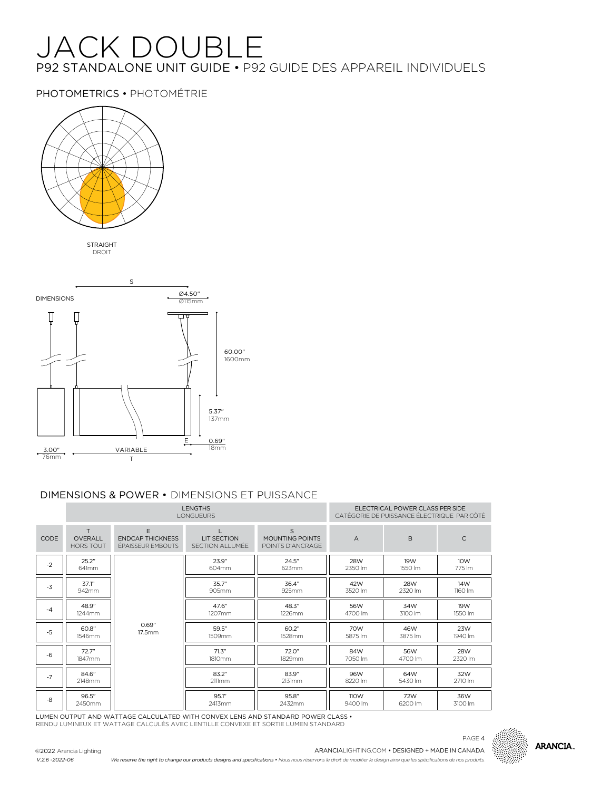# JACK DOUBLE P92 STANDALONE UNIT GUIDE • P92 GUIDE DES APPAREIL INDIVIDUELS

PHOTOMETRICS • PHOTOMÉTRIE



STRAIGHT DROIT



### DIMENSIONS & POWER • DIMENSIONS ET PUISSANCE

|      | <b>LENGTHS</b><br><b>LONGUEURS</b>       |                                                   |                                        |                                                     |                 | ELECTRICAL POWER CLASS PER SIDE<br>CATÉGORIE DE PUISSANCE ÉLECTRIQUE PAR CÔTÉ |                |
|------|------------------------------------------|---------------------------------------------------|----------------------------------------|-----------------------------------------------------|-----------------|-------------------------------------------------------------------------------|----------------|
| CODE | T.<br><b>OVERALL</b><br><b>HORS TOUT</b> | F<br><b>FNDCAP THICKNESS</b><br>ÉPAISSEUR EMBOUTS | <b>I IT SECTION</b><br>SECTION ALLUMÉE | $\mathsf{S}$<br>MOUNTING POINTS<br>POINTS D'ANCRAGE | $\overline{A}$  | B                                                                             | C              |
| $-2$ | 25.2"<br>641mm                           |                                                   | 23.9"<br>604mm                         | 24.5"<br>623mm                                      | 28W<br>2350 lm  | 19W<br>1550 lm                                                                | 10W<br>775 lm  |
| $-3$ | 37.1"<br>942mm                           |                                                   | 35.7"<br>905mm                         | 36.4"<br>925mm                                      | 42W<br>3520 lm  | <b>28W</b><br>2320 lm                                                         | 14W<br>1160 lm |
| $-4$ | 48.9"<br>1244mm                          |                                                   | 47.6"<br>1207mm                        | 48.3"<br>1226mm                                     | 56W<br>4700 lm  | 34W<br>3100 lm                                                                | 19W<br>1550 lm |
| $-5$ | 60.8"<br>1546mm                          | 0.69"<br>17.5mm                                   | 59.5"<br>1509mm                        | 60.2"<br>1528mm                                     | 70W<br>5875 lm  | 46W<br>3875 lm                                                                | 23W<br>1940 lm |
| $-6$ | 72.7"<br>1847mm                          |                                                   | 71.3"<br>1810mm                        | 72.0"<br>1829mm                                     | 84W<br>7050 lm  | 56W<br>4700 lm                                                                | 28W<br>2320 lm |
| $-7$ | 84.6"<br>2148mm                          |                                                   | 83.2"<br>2111mm                        | 83.9"<br>2131mm                                     | 96W<br>8220 lm  | 64W<br>5430 lm                                                                | 32W<br>2710 lm |
| -8   | 96.5"<br>2450mm                          |                                                   | 95.1"<br>2413mm                        | 95.8"<br>2432mm                                     | 110W<br>9400 lm | 72W<br>6200 lm                                                                | 36W<br>3100 lm |

LUMEN OUTPUT AND WATTAGE CALCULATED WITH CONVEX LENS AND STANDARD POWER CLASS • RENDU LUMINEUX ET WATTAGE CALCULÉS AVEC LENTILLE CONVEXE ET SORTIE LUMEN STANDARD

©2022 Arancia Lighting *V.2.6 -2022-06*





*We reserve the right to change our products designs and specifications • Nous nous réservons le droit de modifier le design ainsi que les spécifications de nos produits.*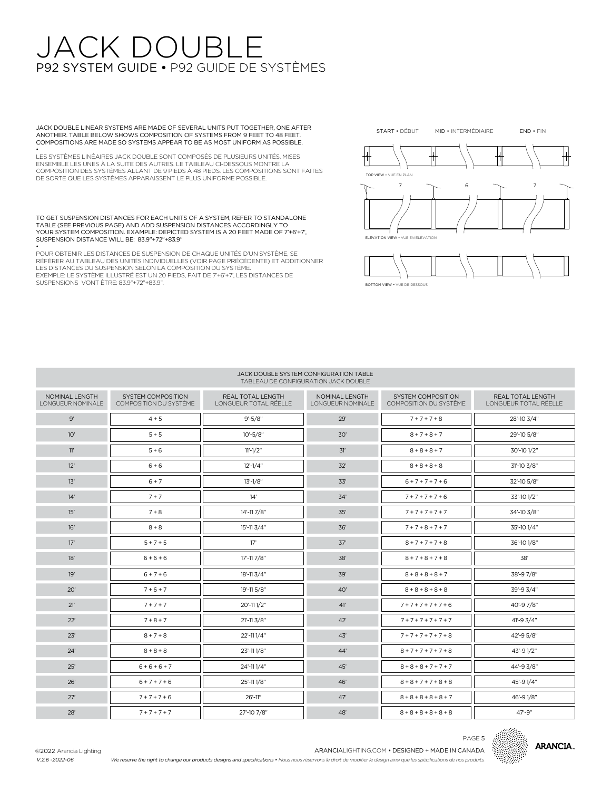## JACK DOUBL P92 SYSTEM GUIDE • P92 GUIDE DE SYSTÈMES

JACK DOUBLE LINEAR SYSTEMS ARE MADE OF SEVERAL UNITS PUT TOGETHER, ONE AFTER ANOTHER. TABLE BELOW SHOWS COMPOSITION OF SYSTEMS FROM 9 FEET TO 48 FEET. COMPOSITIONS ARE MADE SO SYSTEMS APPEAR TO BE AS MOST UNIFORM AS POSSIBLE.

• LES SYSTÈMES LINÉAIRES JACK DOUBLE SONT COMPOSÉS DE PLUSIEURS UNITÉS, MISES ENSEMBLE LES UNES À LA SUITE DES AUTRES. LE TABLEAU CI-DESSOUS MONTRE LA COMPOSITION DES SYSTÈMES ALLANT DE 9 PIEDS À 48 PIEDS. LES COMPOSITIONS SONT FAITES DE SORTE QUE LES SYSTÈMES APPARAISSENT LE PLUS UNIFORME POSSIBLE.

TO GET SUSPENSION DISTANCES FOR EACH UNITS OF A SYSTEM, REFER TO STANDALONE TABLE (SEE PREVIOUS PAGE) AND ADD SUSPENSION DISTANCES ACCORDINGLY TO YOUR SYSTEM COMPOSITION. EXAMPLE: DEPICTED SYSTEM IS A 20 FEET MADE OF 7'+6'+7', SUSPENSION DISTANCE WILL BE: 83.9"+72"+83.9"

• POUR OBTENIR LES DISTANCES DE SUSPENSION DE CHAQUE UNITÉS D'UN SYSTÈME, SE RÉFÉRER AU TABLEAU DES UNITÉS INDIVIDUELLES (VOIR PAGE PRÉCÉDENTE) ET ADDITIONNER LES DISTANCES DU SUSPENSION SELON LA COMPOSITION DU SYSTÈME. EXEMPLE: LE SYSTÈME ILLUSTRÉ EST UN 20 PIEDS, FAIT DE 7'+6'+7', LES DISTANCES DE SUSPENSIONS VONT ÊTRE: 83.9"+72"+83.9".



BOTTOM VIEW • VUE DE DESSOUS

#### JACK DOUBLE SYSTEM CONFIGURATION TABLE TABLEAU DE CONFIGURATION JACK DOUBLE

| NOMINAL LENGTH<br>LONGUEUR NOMINALE | <b>SYSTEM COMPOSITION</b><br>COMPOSITION DU SYSTÈME | REAL TOTAL LENGTH<br>LONGUEUR TOTAL RÉELLE | NOMINAL LENGTH<br>LONGUEUR NOMINALE | <b>SYSTEM COMPOSITION</b><br>COMPOSITION DU SYSTÈME | REAL TOTAL LENGTH<br>LONGUEUR TOTAL RÉELLE |
|-------------------------------------|-----------------------------------------------------|--------------------------------------------|-------------------------------------|-----------------------------------------------------|--------------------------------------------|
| $9^{\prime}$                        | $4 + 5$                                             | $9' - 5/8"$                                | 29'                                 | $7 + 7 + 7 + 8$                                     | 28'-10 3/4"                                |
| 10'                                 | $5 + 5$                                             | $10' - 5/8"$                               | 30'                                 | $8 + 7 + 8 + 7$                                     | 29'-10 5/8"                                |
| 11'                                 | $5 + 6$                                             | $11'-1/2"$                                 | 31'                                 | $8 + 8 + 8 + 7$                                     | 30'-10 1/2"                                |
| 12'                                 | $6 + 6$                                             | $12'-1/4"$                                 | 32'                                 | $8 + 8 + 8 + 8$                                     | 31'-10 3/8"                                |
| 13'                                 | $6 + 7$                                             | $13'-1/8"$                                 | 33'                                 | $6 + 7 + 7 + 7 + 6$                                 | 32'-10 5/8"                                |
| 14'                                 | $7 + 7$                                             | 14'                                        | 34'                                 | $7 + 7 + 7 + 7 + 6$                                 | 33'-10 1/2"                                |
| 15'                                 | $7 + 8$                                             | 14'-11 7/8"                                | 35'                                 | $7 + 7 + 7 + 7 + 7$                                 | 34'-10 3/8"                                |
| 16'                                 | $8 + 8$                                             | $15' - 113/4"$                             | 36'                                 | $7 + 7 + 8 + 7 + 7$                                 | 35'-10 1/4"                                |
| 17'                                 | $5 + 7 + 5$                                         | 17'                                        | 37'                                 | $8 + 7 + 7 + 7 + 8$                                 | 36'-10 1/8"                                |
| 18'                                 | $6 + 6 + 6$                                         | 17'-11 7/8"                                | 38'                                 | $8 + 7 + 8 + 7 + 8$                                 | 38'                                        |
| 19'                                 | $6 + 7 + 6$                                         | 18'-11 3/4"                                | 39'                                 | $8 + 8 + 8 + 8 + 7$                                 | 38'-97/8"                                  |
| 20'                                 | $7 + 6 + 7$                                         | 19'-11 5/8"                                | 40'                                 | $8 + 8 + 8 + 8 + 8$                                 | 39'-9 3/4"                                 |
| 21'                                 | $7 + 7 + 7$                                         | 20'-111/2"                                 | 41'                                 | $7 + 7 + 7 + 7 + 7 + 6$                             | 40'-97/8"                                  |
| 22'                                 | $7 + 8 + 7$                                         | $21' - 11 \frac{3}{8}$                     | 42'                                 | $7 + 7 + 7 + 7 + 7 + 7$                             | 41'-9 3/4"                                 |
| 23'                                 | $8 + 7 + 8$                                         | 22'-111/4"                                 | 43'                                 | $7 + 7 + 7 + 7 + 7 + 8$                             | 42'-9 5/8"                                 |
| 24'                                 | $8 + 8 + 8$                                         | 23'-111/8"                                 | 44'                                 | $8 + 7 + 7 + 7 + 7 + 8$                             | 43'-91/2"                                  |
| 25'                                 | $6+6+6+7$                                           | 24'-11 1/4"                                | 45'                                 | $8 + 8 + 8 + 7 + 7 + 7$                             | 44'-9 3/8"                                 |
| 26'                                 | $6 + 7 + 7 + 6$                                     | 25'-111/8"                                 | 46'                                 | $8 + 8 + 7 + 7 + 8 + 8$                             | 45'-91/4"                                  |
| 27'                                 | $7 + 7 + 7 + 6$                                     | 26'-11"                                    | 47'                                 | $8 + 8 + 8 + 8 + 8 + 7$                             | 46'-91/8"                                  |
| 28'                                 | $7 + 7 + 7 + 7$                                     | 27'-10 7/8"                                | 48'                                 | $8 + 8 + 8 + 8 + 8 + 8$                             | 47'-9"                                     |



PAGE 5

©2022 Arancia Lighting *V.2.6 -2022-06*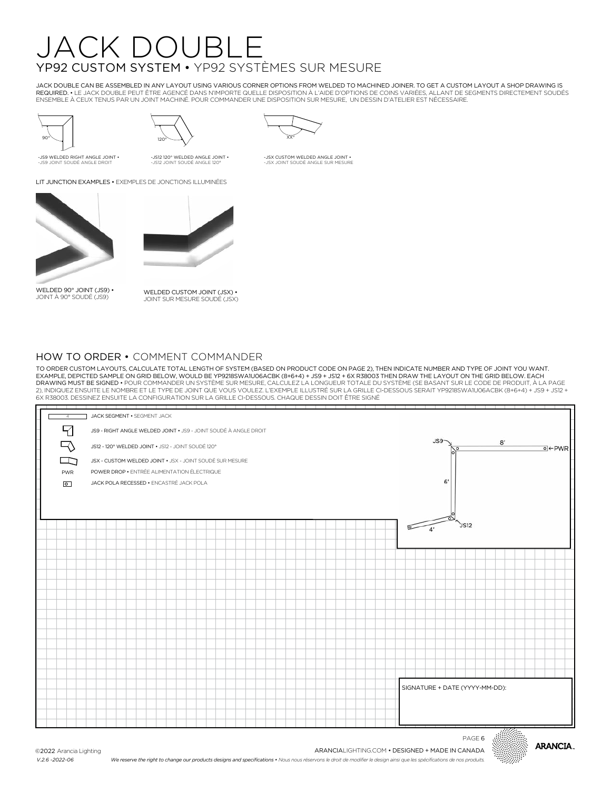# JACK DOUBLE YP92 CUSTOM SYSTEM • YP92 SYSTÈMES SUR MESURE

JACK DOUBLE CAN BE ASSEMBLED IN ANY LAYOUT USING VARIOUS CORNER OPTIONS FROM WELDED TO MACHINED JOINER. TO GET A CUSTOM LAYOUT A SHOP DRAWING IS REQUIRED. • LE JACK DOUBLE PEUT ÊTRE AGENCÉ DANS N'IMPORTE QUELLE DISPOSITION À L'AIDE D'OPTIONS DE COINS VARIÉES, ALLANT DE SEGMENTS DIRECTEMENT SOUDÉS ENSEMBLE À CEUX TENUS PAR UN JOINT MACHINÉ. POUR COMMANDER UNE DISPOSITION SUR MESURE, UN DESSIN D'ATELIER EST NÉCESSAIRE.

> -JSX CUSTOM WELDED ANGLE JOINT • -JSX JOINT SOUDÉ ANGLE SUR MESURE





-JS9 WELDED RIGHT ANGLE JOINT • -JS9 JOINT SOUDÉ ANGLE DROIT

 $\overline{X}$   $\overline{X}$ <sup>o</sup>

-JS12 120° WELDED ANGLE JOINT • -JS12 JOINT SOUDÉ ANGLE 120°

LIT JUNCTION EXAMPLES • EXEMPLES DE JONCTIONS ILLUMINÉES



WELDED 90° JOINT (JS9) • JOINT À 90° SOUDÉ (JS9)



WELDED CUSTOM JOINT (JSX) • JOINT SUR MESURE SOUDÉ (JSX)

### HOW TO ORDER • COMMENT COMMANDER

TO ORDER CUSTOM LAYOUTS, CALCULATE TOTAL LENGTH OF SYSTEM (BASED ON PRODUCT CODE ON PAGE 2), THEN INDICATE NUMBER AND TYPE OF JOINT YOU WANT. EXAMPLE, DEPICTED SAMPLE ON GRID BELOW, WOULD BE YP9218SWA1U06ACBK (8+6+4) + JS9 + JS12 + 6X R38003 THEN DRAW THE LAYOUT ON THE GRID BELOW. EACH<br>DRAWING MUST BE SIGNED • POUR COMMANDER UN SYSTÈME SUR MESURE, CALCULEZ LA LO 2), INDIQUEZ ENSUITE LE NOMBRE ET LE TYPE DE JOINT QUE VOUS VOULEZ. L'EXEMPLE ILLUSTRÉ SUR LA GRILLE CI-DESSOUS SERAIT YP9218SWA1U06ACBK (8+6+4) + JS9 + JS12 + 6X R38003. DESSINEZ ENSUITE LA CONFIGURATION SUR LA GRILLE CI-DESSOUS. CHAQUE DESSIN DOIT ÊTRE SIGNÉ





PAGE 6

©2022 Arancia Lighting *V.2.6 -2022-06*

**ARANCIA** 

*We reserve the right to change our products designs and specifications • Nous nous réservons le droit de modifier le design ainsi que les spécifications de nos produits.*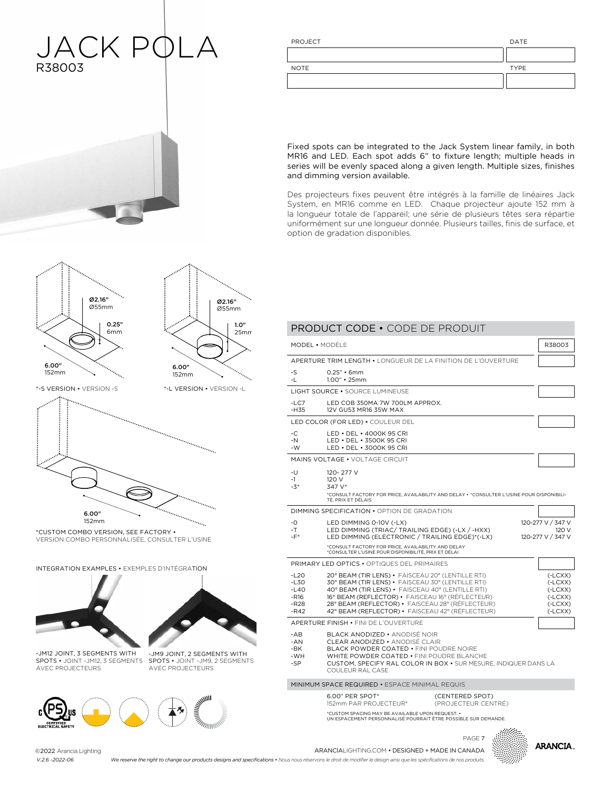### JACK PQLA R38003  $\overline{1}$

| PROJECT     | DATE        |
|-------------|-------------|
|             |             |
| <b>NOTE</b> | <b>TYPE</b> |
|             |             |
|             |             |

Fixed spots can be integrated to the Jack System linear family, in both MR16 and LED. Each spot adds 6" to fixture length; multiple heads in series will be evenly spaced along a given length. Multiple sizes, finishes and dimming version available.

Des projecteurs fixes peuvent être intégrés à la famille de linéaires Jack System, en MR16 comme en LED. Chaque projecteur ajoute 152 mm à la longueur totale de l'appareil; une série de plusieurs têtes sera répartie uniformément sur une longueur donnée. Plusieurs tailles, finis de surface, et option de gradation disponibles.



1.0"

Ø2.16" Ø55mm



\*CUSTOM COMBO VERSION, SEE FACTORY •<br>UTBALQUI QAURA PERSONI USER COURUL VERSION COMBO PERSONNALISÉE, CONSULTER L'USINE

INTEGRATION EXAMPLES • EXEMPLES D'INTÉGRATION





1.0" 25mm

 $\mathbb{R}$  version  $\mathbb{R}$ 

152mm

-JM12 JOINT, 3 SEGMENTS WITH

SPOTS • JOINT -JM12, 3 SEGMENTS AVEC PROJECTEURS SPOTS • JOINT -JM9, 2 SEGMENTS AVEC PROJECTEURS -JM9 JOINT, 2 SEGMENTS WITH



|                                                          | MODEL • MODÈLE                                                                                                                                                                                                                                                                                                          |                                        | R38003                                                                     |
|----------------------------------------------------------|-------------------------------------------------------------------------------------------------------------------------------------------------------------------------------------------------------------------------------------------------------------------------------------------------------------------------|----------------------------------------|----------------------------------------------------------------------------|
|                                                          | APERTURE TRIM LENGTH • LONGUEUR DE LA FINITION DE L'OUVERTURE                                                                                                                                                                                                                                                           |                                        |                                                                            |
| $-S$<br>-1 -                                             | 0.25" • 6mm<br>$1.00"$ • 25mm                                                                                                                                                                                                                                                                                           |                                        |                                                                            |
|                                                          | LIGHT SOURCE • SOURCE LUMINEUSE                                                                                                                                                                                                                                                                                         |                                        |                                                                            |
| $-1$ C.7<br>$-H35$                                       | I ED COB 350MA 7W 700I M APPROX.<br>12V GU53 MR16 35W MAX                                                                                                                                                                                                                                                               |                                        |                                                                            |
|                                                          | LED COLOR (FOR LED) . COULEUR DEL                                                                                                                                                                                                                                                                                       |                                        |                                                                            |
| $-C$<br>$-N$<br>-W                                       | LED • DEL • 4000K 95 CRI<br>LED . DEL . 3500K 95 CRI<br>LED • DEL • 3000K 95 CRI                                                                                                                                                                                                                                        |                                        |                                                                            |
|                                                          | MAINS VOLTAGE . VOLTAGE CIRCUIT                                                                                                                                                                                                                                                                                         |                                        |                                                                            |
| -U<br>$-1$<br>$-3*$                                      | 120-277 V<br>120 V<br>347 V*<br>*CONSULT FACTORY FOR PRICE, AVAILABILITY AND DELAY . * CONSULTER L'USINE POUR DISPONIBILI-<br>TÉ. PRIX ET DÉLAIS                                                                                                                                                                        |                                        |                                                                            |
|                                                          | DIMMING SPECIFICATION . OPTION DE GRADATION                                                                                                                                                                                                                                                                             |                                        |                                                                            |
| $-0$<br>$-T -$<br>$-F^*$                                 | LED DIMMING 0-10V (-LX)<br>LED DIMMING (TRIAC/ TRAILING EDGE) (-LX / -HXX)<br>LED DIMMING (ELECTRONIC / TRAILING EDGE)*(-LX)                                                                                                                                                                                            |                                        | 120-277 V / 347 V<br>120 V<br>120-277 V / 347 V                            |
|                                                          | *CONSULT FACTORY FOR PRICE, AVAILABILITY AND DELAY<br>*CONSULTER L'USINE POUR DISPONIBILITÉ, PRIX ET DÉLAI                                                                                                                                                                                                              |                                        |                                                                            |
|                                                          | <b>PRIMARY LED OPTICS • OPTIQUES DEL PRIMAIRES</b>                                                                                                                                                                                                                                                                      |                                        |                                                                            |
| $-120$<br>$-L30$<br>$-L40$<br>$-R16$<br>$-R28$<br>$-R42$ | 20° BEAM (TIR LENS) · FAISCEAU 20° (LENTILLE RTI)<br>30° BEAM (TIR LENS) · FAISCEAU 30° (LENTILLE RTI)<br>40° BEAM (TIR LENS) · FAISCEAU 40° (LENTILLE RTI)<br>16° BEAM (REFLECTOR) • FAISCEAU 16° (RÉFLECTEUR)<br>28° BEAM (REFLECTOR) · FAISCEAU 28° (RÉFLECTEUR)<br>42° BEAM (REFLECTOR) · FAISCEAU 42° (RÉFLECTEUR) |                                        | $(-LCXX)$<br>$(-LCXX)$<br>$(-LCXX)$<br>$(-LCXX)$<br>$(-LCXX)$<br>$(-LCXX)$ |
|                                                          | APERTURE FINISH . FINI DE L'OUVERTURE                                                                                                                                                                                                                                                                                   |                                        |                                                                            |
| $-AB$<br>$-AN$<br>-BK<br>-WH<br>$-SP$                    | BLACK ANODIZED • ANODISÉ NOIR<br><b>CLEAR ANODIZED • ANODISÉ CLAIR</b><br>BLACK POWDER COATED . FINI POUDRE NOIRE<br>WHITE POWDER COATED . FINI POUDRE BLANCHE<br>CUSTOM, SPECIFY RAL COLOR IN BOX . SUR MESURE, INDIQUER DANS LA<br>COULEUR RAL CASE                                                                   |                                        |                                                                            |
|                                                          | MINIMUM SPACE REQUIRED . ESPACE MINIMAL REQUIS                                                                                                                                                                                                                                                                          |                                        |                                                                            |
|                                                          | 6.00" PER SPOT*<br>152mm PAR PROJECTEUR*                                                                                                                                                                                                                                                                                | (CENTERED SPOT)<br>(PROJECTEUR CENTRÉ) |                                                                            |
|                                                          | *CUSTOM SPACING MAY BE AVAILABLE UPON REQUEST. .<br>UN ESPACEMENT PERSONNALISÉ POURRAIT ÊTRE POSSIBLE SUR DEMANDE.                                                                                                                                                                                                      |                                        |                                                                            |



ARANCIALIGHTING.COM • DESIGNED + MADE IN CANADA ARANCIALIGHTING.COM • DESIGNED + MADE IN CANADAPAGE 7Arancia Lighting ©2022 Arancia Lighting *V.2.4 -2022-06 V.2.6 -2022-06*

We reserve the right to change our products designs and specifications • Nous nous réservons le droit de modifier le design ainsi que les spécifications de nos produits.

PRODUCT CODE • CODE DE PRODUIT